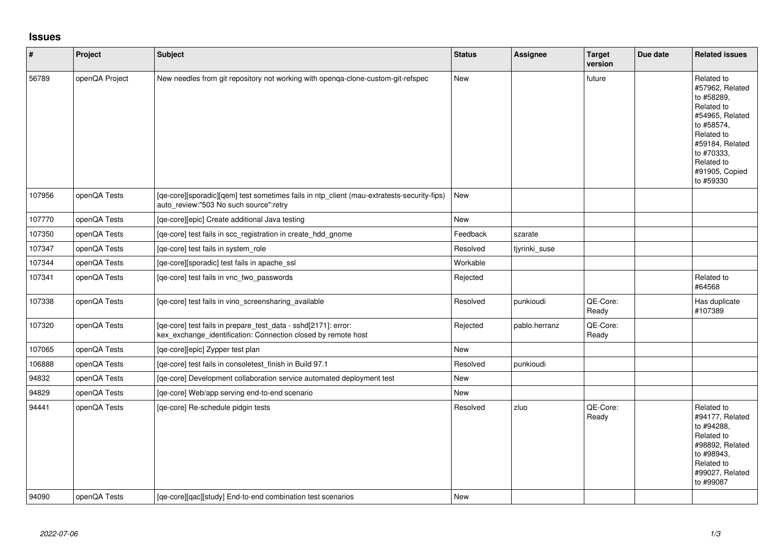## **Issues**

| $\vert$ # | Project        | <b>Subject</b>                                                                                                                       | <b>Status</b> | Assignee      | <b>Target</b><br>version | Due date | <b>Related issues</b>                                                                                                                                                                  |
|-----------|----------------|--------------------------------------------------------------------------------------------------------------------------------------|---------------|---------------|--------------------------|----------|----------------------------------------------------------------------------------------------------------------------------------------------------------------------------------------|
| 56789     | openQA Project | New needles from git repository not working with openqa-clone-custom-git-refspec                                                     | <b>New</b>    |               | future                   |          | Related to<br>#57962, Related<br>to #58289,<br>Related to<br>#54965, Related<br>to #58574,<br>Related to<br>#59184, Related<br>to #70333,<br>Related to<br>#91905, Copied<br>to #59330 |
| 107956    | openQA Tests   | [qe-core][sporadic][qem] test sometimes fails in ntp_client (mau-extratests-security-fips)<br>auto_review:"503 No such source":retry | New           |               |                          |          |                                                                                                                                                                                        |
| 107770    | openQA Tests   | [qe-core][epic] Create additional Java testing                                                                                       | <b>New</b>    |               |                          |          |                                                                                                                                                                                        |
| 107350    | openQA Tests   | [qe-core] test fails in scc_registration in create_hdd_gnome                                                                         | Feedback      | szarate       |                          |          |                                                                                                                                                                                        |
| 107347    | openQA Tests   | [qe-core] test fails in system_role                                                                                                  | Resolved      | tjyrinki_suse |                          |          |                                                                                                                                                                                        |
| 107344    | openQA Tests   | [qe-core][sporadic] test fails in apache_ssl                                                                                         | Workable      |               |                          |          |                                                                                                                                                                                        |
| 107341    | openQA Tests   | [qe-core] test fails in vnc_two_passwords                                                                                            | Rejected      |               |                          |          | Related to<br>#64568                                                                                                                                                                   |
| 107338    | openQA Tests   | [qe-core] test fails in vino_screensharing_available                                                                                 | Resolved      | punkioudi     | QE-Core:<br>Ready        |          | Has duplicate<br>#107389                                                                                                                                                               |
| 107320    | openQA Tests   | [qe-core] test fails in prepare_test_data - sshd[2171]: error:<br>kex_exchange_identification: Connection closed by remote host      | Rejected      | pablo.herranz | QE-Core:<br>Ready        |          |                                                                                                                                                                                        |
| 107065    | openQA Tests   | [qe-core][epic] Zypper test plan                                                                                                     | New           |               |                          |          |                                                                                                                                                                                        |
| 106888    | openQA Tests   | [qe-core] test fails in consoletest_finish in Build 97.1                                                                             | Resolved      | punkioudi     |                          |          |                                                                                                                                                                                        |
| 94832     | openQA Tests   | [qe-core] Development collaboration service automated deployment test                                                                | New           |               |                          |          |                                                                                                                                                                                        |
| 94829     | openQA Tests   | [qe-core] Web/app serving end-to-end scenario                                                                                        | <b>New</b>    |               |                          |          |                                                                                                                                                                                        |
| 94441     | openQA Tests   | [qe-core] Re-schedule pidgin tests                                                                                                   | Resolved      | zluo          | QE-Core:<br>Ready        |          | Related to<br>#94177, Related<br>to #94288.<br>Related to<br>#98892, Related<br>to #98943,<br>Related to<br>#99027, Related<br>to #99087                                               |
| 94090     | openQA Tests   | [qe-core][qac][study] End-to-end combination test scenarios                                                                          | New           |               |                          |          |                                                                                                                                                                                        |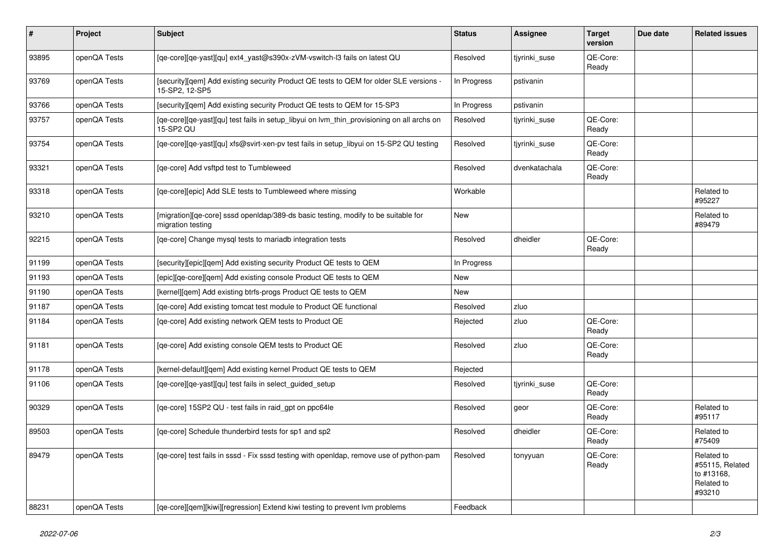| $\vert$ # | Project      | <b>Subject</b>                                                                                           | <b>Status</b> | Assignee      | <b>Target</b><br>version | Due date | <b>Related issues</b>                                               |
|-----------|--------------|----------------------------------------------------------------------------------------------------------|---------------|---------------|--------------------------|----------|---------------------------------------------------------------------|
| 93895     | openQA Tests | [qe-core][qe-yast][qu] ext4_yast@s390x-zVM-vswitch-l3 fails on latest QU                                 | Resolved      | tjyrinki_suse | QE-Core:<br>Ready        |          |                                                                     |
| 93769     | openQA Tests | [security][gem] Add existing security Product QE tests to QEM for older SLE versions -<br>15-SP2, 12-SP5 | In Progress   | pstivanin     |                          |          |                                                                     |
| 93766     | openQA Tests | [security][gem] Add existing security Product QE tests to QEM for 15-SP3                                 | In Progress   | pstivanin     |                          |          |                                                                     |
| 93757     | openQA Tests | [qe-core][qe-yast][qu] test fails in setup_libyui on lvm_thin_provisioning on all archs on<br>15-SP2 QU  | Resolved      | tiyrinki suse | QE-Core:<br>Ready        |          |                                                                     |
| 93754     | openQA Tests | [qe-core][qe-yast][qu] xfs@svirt-xen-pv test fails in setup_libyui on 15-SP2 QU testing                  | Resolved      | tiyrinki suse | QE-Core:<br>Ready        |          |                                                                     |
| 93321     | openQA Tests | [ge-core] Add vsftpd test to Tumbleweed                                                                  | Resolved      | dvenkatachala | QE-Core:<br>Ready        |          |                                                                     |
| 93318     | openQA Tests | [qe-core][epic] Add SLE tests to Tumbleweed where missing                                                | Workable      |               |                          |          | Related to<br>#95227                                                |
| 93210     | openQA Tests | [migration][qe-core] sssd openIdap/389-ds basic testing, modify to be suitable for<br>migration testing  | New           |               |                          |          | Related to<br>#89479                                                |
| 92215     | openQA Tests | [ge-core] Change mysgl tests to mariadb integration tests                                                | Resolved      | dheidler      | QE-Core:<br>Ready        |          |                                                                     |
| 91199     | openQA Tests | [security][epic][qem] Add existing security Product QE tests to QEM                                      | In Progress   |               |                          |          |                                                                     |
| 91193     | openQA Tests | [epic][qe-core][qem] Add existing console Product QE tests to QEM                                        | New           |               |                          |          |                                                                     |
| 91190     | openQA Tests | [kernel][qem] Add existing btrfs-progs Product QE tests to QEM                                           | New           |               |                          |          |                                                                     |
| 91187     | openQA Tests | [ge-core] Add existing tomcat test module to Product QE functional                                       | Resolved      | zluo          |                          |          |                                                                     |
| 91184     | openQA Tests | [qe-core] Add existing network QEM tests to Product QE                                                   | Rejected      | zluo          | QE-Core:<br>Ready        |          |                                                                     |
| 91181     | openQA Tests | [qe-core] Add existing console QEM tests to Product QE                                                   | Resolved      | zluo          | QE-Core:<br>Ready        |          |                                                                     |
| 91178     | openQA Tests | [kernel-default][qem] Add existing kernel Product QE tests to QEM                                        | Rejected      |               |                          |          |                                                                     |
| 91106     | openQA Tests | [ge-core][ge-yast][gu] test fails in select guided setup                                                 | Resolved      | tiyrinki suse | QE-Core:<br>Ready        |          |                                                                     |
| 90329     | openQA Tests | [qe-core] 15SP2 QU - test fails in raid_gpt on ppc64le                                                   | Resolved      | geor          | QE-Core:<br>Ready        |          | Related to<br>#95117                                                |
| 89503     | openQA Tests | [ge-core] Schedule thunderbird tests for sp1 and sp2                                                     | Resolved      | dheidler      | QE-Core:<br>Ready        |          | Related to<br>#75409                                                |
| 89479     | openQA Tests | [ge-core] test fails in sssd - Fix sssd testing with openldap, remove use of python-pam                  | Resolved      | tonyyuan      | QE-Core:<br>Ready        |          | Related to<br>#55115, Related<br>to #13168,<br>Related to<br>#93210 |
| 88231     | openQA Tests | [ge-core][gem][kiwi][regression] Extend kiwi testing to prevent lym problems                             | Feedback      |               |                          |          |                                                                     |